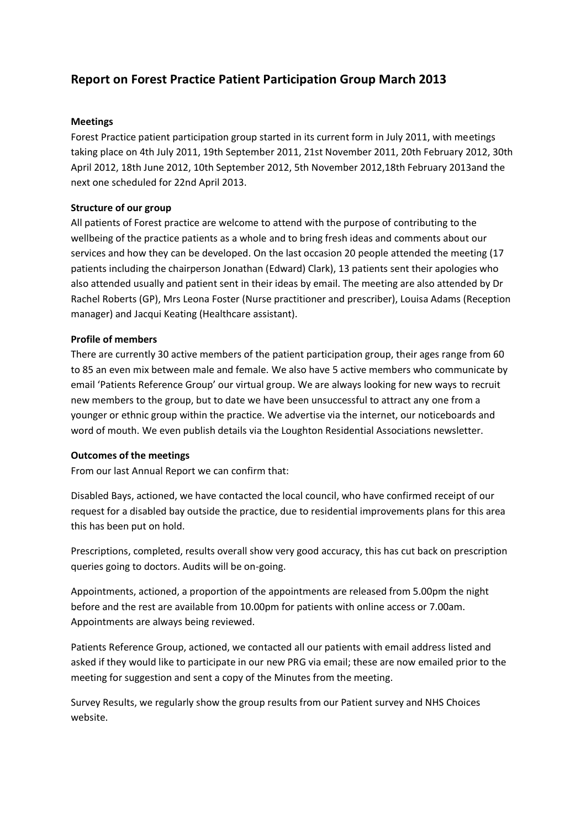# **Report on Forest Practice Patient Participation Group March 2013**

## **Meetings**

Forest Practice patient participation group started in its current form in July 2011, with meetings taking place on 4th July 2011, 19th September 2011, 21st November 2011, 20th February 2012, 30th April 2012, 18th June 2012, 10th September 2012, 5th November 2012,18th February 2013and the next one scheduled for 22nd April 2013.

#### **Structure of our group**

All patients of Forest practice are welcome to attend with the purpose of contributing to the wellbeing of the practice patients as a whole and to bring fresh ideas and comments about our services and how they can be developed. On the last occasion 20 people attended the meeting (17 patients including the chairperson Jonathan (Edward) Clark), 13 patients sent their apologies who also attended usually and patient sent in their ideas by email. The meeting are also attended by Dr Rachel Roberts (GP), Mrs Leona Foster (Nurse practitioner and prescriber), Louisa Adams (Reception manager) and Jacqui Keating (Healthcare assistant).

#### **Profile of members**

There are currently 30 active members of the patient participation group, their ages range from 60 to 85 an even mix between male and female. We also have 5 active members who communicate by email 'Patients Reference Group' our virtual group. We are always looking for new ways to recruit new members to the group, but to date we have been unsuccessful to attract any one from a younger or ethnic group within the practice. We advertise via the internet, our noticeboards and word of mouth. We even publish details via the Loughton Residential Associations newsletter.

## **Outcomes of the meetings**

From our last Annual Report we can confirm that:

Disabled Bays, actioned, we have contacted the local council, who have confirmed receipt of our request for a disabled bay outside the practice, due to residential improvements plans for this area this has been put on hold.

Prescriptions, completed, results overall show very good accuracy, this has cut back on prescription queries going to doctors. Audits will be on-going.

Appointments, actioned, a proportion of the appointments are released from 5.00pm the night before and the rest are available from 10.00pm for patients with online access or 7.00am. Appointments are always being reviewed.

Patients Reference Group, actioned, we contacted all our patients with email address listed and asked if they would like to participate in our new PRG via email; these are now emailed prior to the meeting for suggestion and sent a copy of the Minutes from the meeting.

Survey Results, we regularly show the group results from our Patient survey and NHS Choices website.